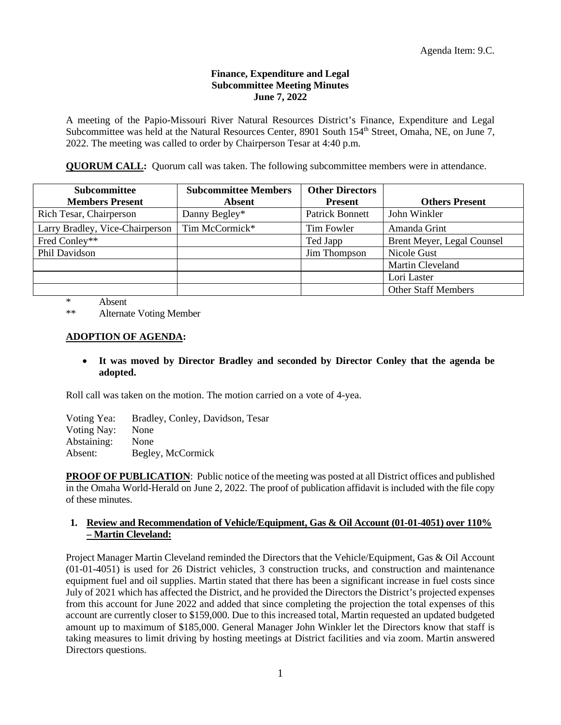## **Finance, Expenditure and Legal Subcommittee Meeting Minutes June 7, 2022**

A meeting of the Papio-Missouri River Natural Resources District's Finance, Expenditure and Legal Subcommittee was held at the Natural Resources Center, 8901 South 154<sup>th</sup> Street, Omaha, NE, on June 7, 2022. The meeting was called to order by Chairperson Tesar at 4:40 p.m.

**QUORUM CALL:** Quorum call was taken. The following subcommittee members were in attendance.

| <b>Subcommittee</b><br><b>Members Present</b> | <b>Subcommittee Members</b><br><b>Absent</b> | <b>Other Directors</b><br><b>Present</b> | <b>Others Present</b>      |
|-----------------------------------------------|----------------------------------------------|------------------------------------------|----------------------------|
| Rich Tesar, Chairperson                       | Danny Begley*                                | <b>Patrick Bonnett</b>                   | John Winkler               |
| Larry Bradley, Vice-Chairperson               | Tim McCormick*                               | Tim Fowler                               | Amanda Grint               |
| Fred Conley**                                 |                                              | Ted Japp                                 | Brent Meyer, Legal Counsel |
| Phil Davidson                                 |                                              | Jim Thompson                             | Nicole Gust                |
|                                               |                                              |                                          | Martin Cleveland           |
|                                               |                                              |                                          | Lori Laster                |
|                                               |                                              |                                          | <b>Other Staff Members</b> |

\* Absent

\*\* Alternate Voting Member

# **ADOPTION OF AGENDA:**

# • **It was moved by Director Bradley and seconded by Director Conley that the agenda be adopted.**

Roll call was taken on the motion. The motion carried on a vote of 4-yea.

Voting Yea: Bradley, Conley, Davidson, Tesar Voting Nay: None Abstaining: None Absent: Begley, McCormick

**PROOF OF PUBLICATION:** Public notice of the meeting was posted at all District offices and published in the Omaha World-Herald on June 2, 2022. The proof of publication affidavit is included with the file copy of these minutes.

# **1. Review and Recommendation of Vehicle/Equipment, Gas & Oil Account (01-01-4051) over 110% – Martin Cleveland:**

Project Manager Martin Cleveland reminded the Directors that the Vehicle/Equipment, Gas & Oil Account (01-01-4051) is used for 26 District vehicles, 3 construction trucks, and construction and maintenance equipment fuel and oil supplies. Martin stated that there has been a significant increase in fuel costs since July of 2021 which has affected the District, and he provided the Directors the District's projected expenses from this account for June 2022 and added that since completing the projection the total expenses of this account are currently closer to \$159,000. Due to this increased total, Martin requested an updated budgeted amount up to maximum of \$185,000. General Manager John Winkler let the Directors know that staff is taking measures to limit driving by hosting meetings at District facilities and via zoom. Martin answered Directors questions.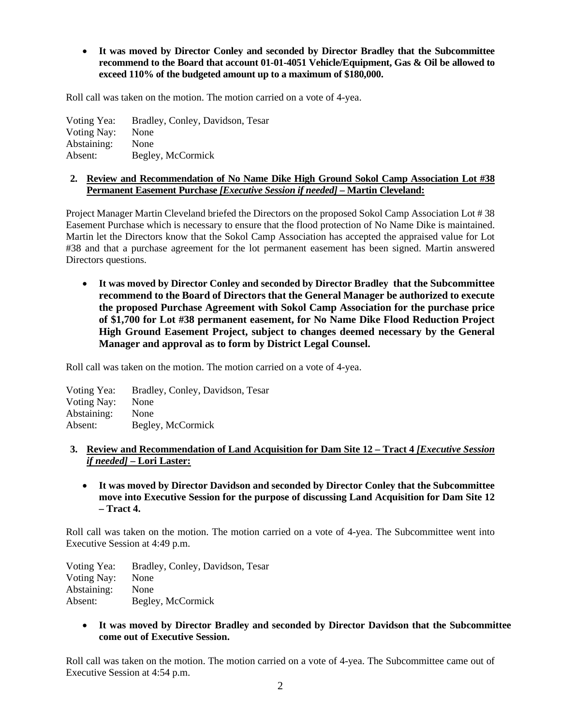• **It was moved by Director Conley and seconded by Director Bradley that the Subcommittee recommend to the Board that account 01-01-4051 Vehicle/Equipment, Gas & Oil be allowed to exceed 110% of the budgeted amount up to a maximum of \$180,000.**

Roll call was taken on the motion. The motion carried on a vote of 4-yea.

Voting Yea: Bradley, Conley, Davidson, Tesar Voting Nay: None Abstaining: None Absent: Begley, McCormick

# **2. Review and Recommendation of No Name Dike High Ground Sokol Camp Association Lot #38 Permanent Easement Purchase** *[Executive Session if needed]* **– Martin Cleveland:**

Project Manager Martin Cleveland briefed the Directors on the proposed Sokol Camp Association Lot # 38 Easement Purchase which is necessary to ensure that the flood protection of No Name Dike is maintained. Martin let the Directors know that the Sokol Camp Association has accepted the appraised value for Lot #38 and that a purchase agreement for the lot permanent easement has been signed. Martin answered Directors questions.

• **It was moved by Director Conley and seconded by Director Bradley that the Subcommittee recommend to the Board of Directors that the General Manager be authorized to execute the proposed Purchase Agreement with Sokol Camp Association for the purchase price of \$1,700 for Lot #38 permanent easement, for No Name Dike Flood Reduction Project High Ground Easement Project, subject to changes deemed necessary by the General Manager and approval as to form by District Legal Counsel.**

Roll call was taken on the motion. The motion carried on a vote of 4-yea.

Voting Yea: Bradley, Conley, Davidson, Tesar Voting Nay: None Abstaining: None Absent: Begley, McCormick

# **3. Review and Recommendation of Land Acquisition for Dam Site 12 – Tract 4** *[Executive Session if needed]* **– Lori Laster:**

• **It was moved by Director Davidson and seconded by Director Conley that the Subcommittee move into Executive Session for the purpose of discussing Land Acquisition for Dam Site 12 – Tract 4.**

Roll call was taken on the motion. The motion carried on a vote of 4-yea. The Subcommittee went into Executive Session at 4:49 p.m.

Voting Yea: Bradley, Conley, Davidson, Tesar Voting Nay: None Abstaining: None Absent: Begley, McCormick

• **It was moved by Director Bradley and seconded by Director Davidson that the Subcommittee come out of Executive Session.** 

Roll call was taken on the motion. The motion carried on a vote of 4-yea. The Subcommittee came out of Executive Session at 4:54 p.m.